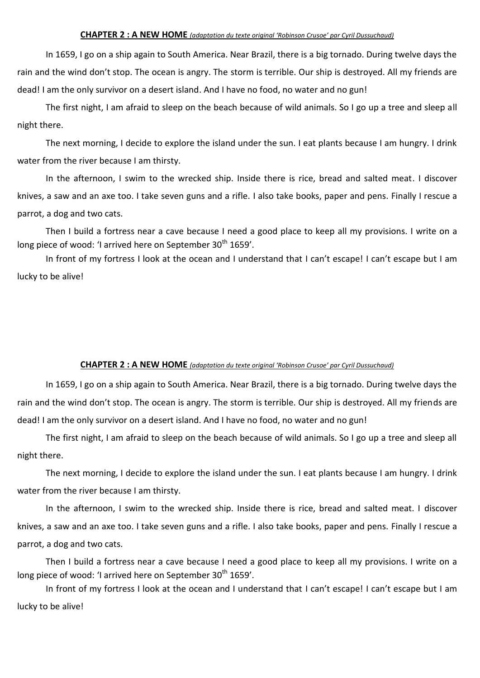## **CHAPTER 2 : A NEW HOME** *(adaptation du texte original 'Robinson Crusoe' par Cyril Dussuchaud)*

In 1659, I go on a ship again to South America. Near Brazil, there is a big tornado. During twelve days the rain and the wind don't stop. The ocean is angry. The storm is terrible. Our ship is destroyed. All my friends are dead! I am the only survivor on a desert island. And I have no food, no water and no gun!

The first night, I am afraid to sleep on the beach because of wild animals. So I go up a tree and sleep all night there.

The next morning, I decide to explore the island under the sun. I eat plants because I am hungry. I drink water from the river because I am thirsty.

In the afternoon, I swim to the wrecked ship. Inside there is rice, bread and salted meat. I discover knives, a saw and an axe too. I take seven guns and a rifle. I also take books, paper and pens. Finally I rescue a parrot, a dog and two cats.

Then I build a fortress near a cave because I need a good place to keep all my provisions. I write on a long piece of wood: 'I arrived here on September 30<sup>th</sup> 1659'.

In front of my fortress I look at the ocean and I understand that I can't escape! I can't escape but I am lucky to be alive!

## **CHAPTER 2 : A NEW HOME** *(adaptation du texte original 'Robinson Crusoe' par Cyril Dussuchaud)*

In 1659, I go on a ship again to South America. Near Brazil, there is a big tornado. During twelve days the rain and the wind don't stop. The ocean is angry. The storm is terrible. Our ship is destroyed. All my friends are dead! I am the only survivor on a desert island. And I have no food, no water and no gun!

The first night, I am afraid to sleep on the beach because of wild animals. So I go up a tree and sleep all night there.

The next morning, I decide to explore the island under the sun. I eat plants because I am hungry. I drink water from the river because I am thirsty.

In the afternoon, I swim to the wrecked ship. Inside there is rice, bread and salted meat. I discover knives, a saw and an axe too. I take seven guns and a rifle. I also take books, paper and pens. Finally I rescue a parrot, a dog and two cats.

Then I build a fortress near a cave because I need a good place to keep all my provisions. I write on a long piece of wood: 'I arrived here on September 30<sup>th</sup> 1659'.

In front of my fortress I look at the ocean and I understand that I can't escape! I can't escape but I am lucky to be alive!